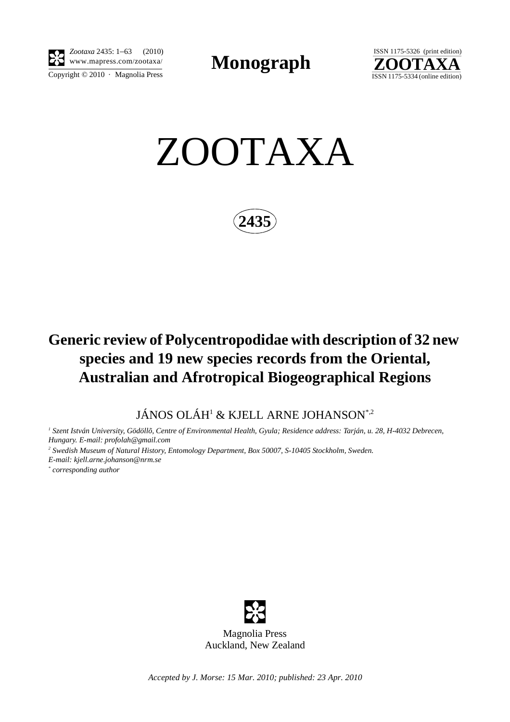

Copyright  $\odot$  2010 · Magnolia Press *Zootaxa* 2435: 1–63 (2010)

**Monograph** 



ZOOTAXA

**2435**

## **Generic review of Polycentropodidae with description of 32 new species and 19 new species records from the Oriental, Australian and Afrotropical Biogeographical Regions**

JÁNOS OLÁH1 & KJELL ARNE JOHANSON\*,2

*1 Szent István University, Gödöllõ, Centre of Environmental Health, Gyula; Residence address: Tarján, u. 28, H-4032 Debrecen, Hungary. E-mail: profolah@gmail.com*

<sup>2</sup> Swedish Museum of Natural History, Entomology Department, Box 50007, S-10405 Stockholm, Sweden. *E-mail: kjell.arne.johanson@nrm.se*

*\* corresponding author*



*Accepted by J. Morse: 15 Mar. 2010; published: 23 Apr. 2010*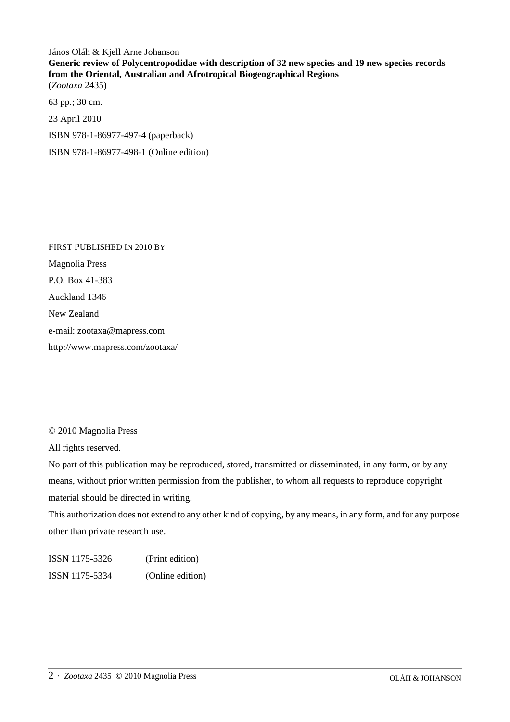János Oláh & Kjell Arne Johanson **Generic review of Polycentropodidae with description of 32 new species and 19 new species records from the Oriental, Australian and Afrotropical Biogeographical Regions** (*Zootaxa* 2435)

63 pp.; 30 cm. 23 April 2010 ISBN 978-1-86977-497-4 (paperback) ISBN 978-1-86977-498-1 (Online edition)

FIRST PUBLISHED IN 2010 BY Magnolia Press P.O. Box 41-383 Auckland 1346 New Zealand e-mail: zootaxa@mapress.com http://www.mapress.com/zootaxa/

© 2010 Magnolia Press

All rights reserved.

No part of this publication may be reproduced, stored, transmitted or disseminated, in any form, or by any means, without prior written permission from the publisher, to whom all requests to reproduce copyright material should be directed in writing.

This authorization does not extend to any other kind of copying, by any means, in any form, and for any purpose other than private research use.

ISSN 1175-5326 (Print edition) ISSN 1175-5334 (Online edition)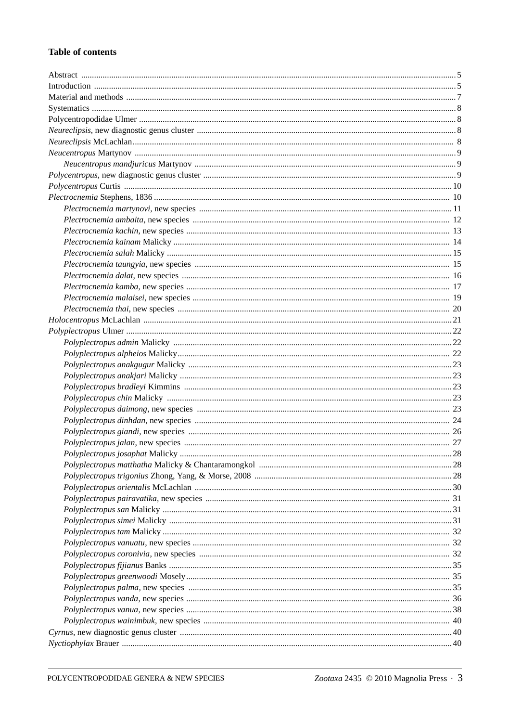## **Table of contents**